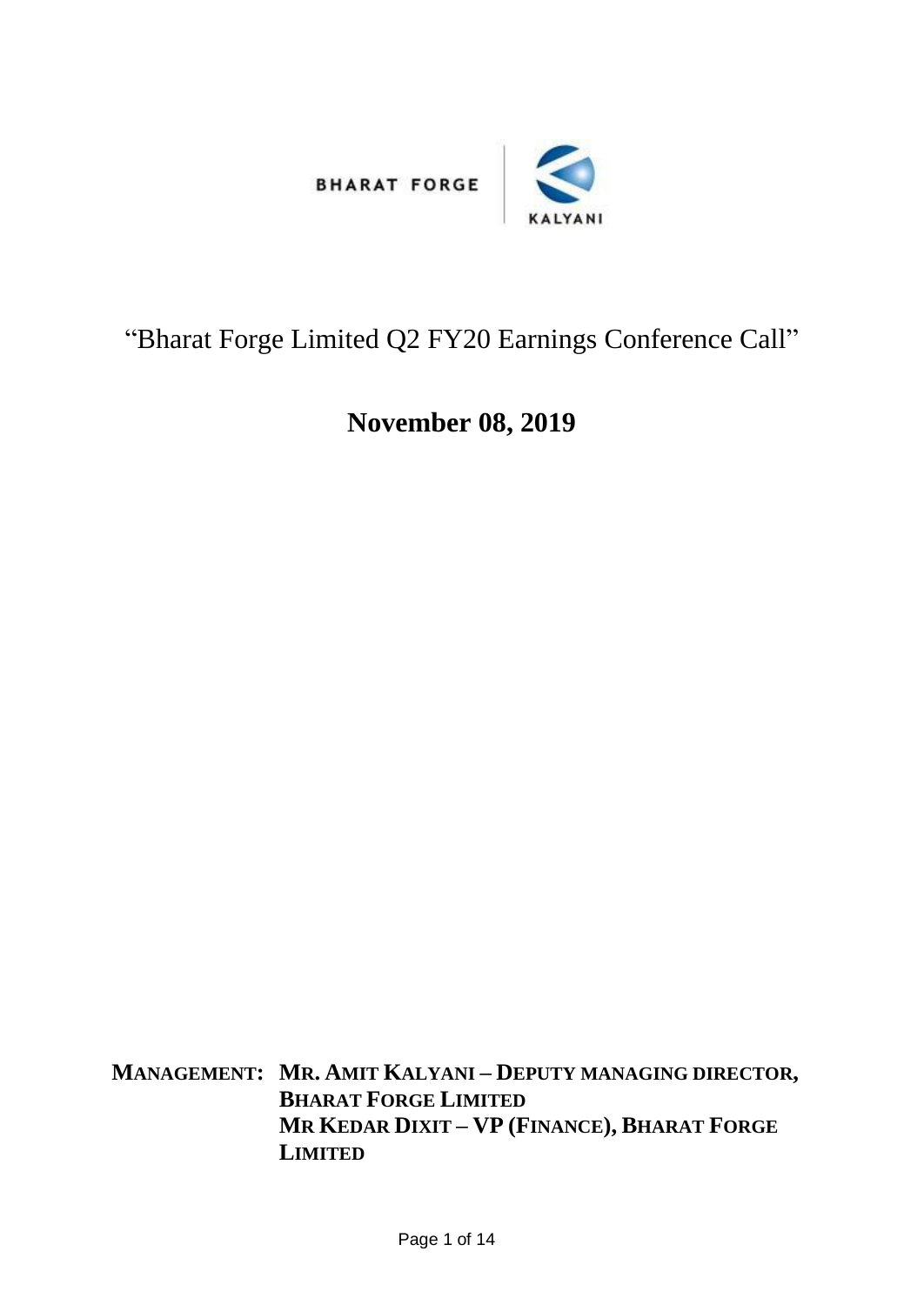



## "Bharat Forge Limited Q2 FY20 Earnings Conference Call"

## **November 08, 2019**

**MANAGEMENT: MR. AMIT KALYANI – DEPUTY MANAGING DIRECTOR, BHARAT FORGE LIMITED MR KEDAR DIXIT – VP (FINANCE), BHARAT FORGE LIMITED**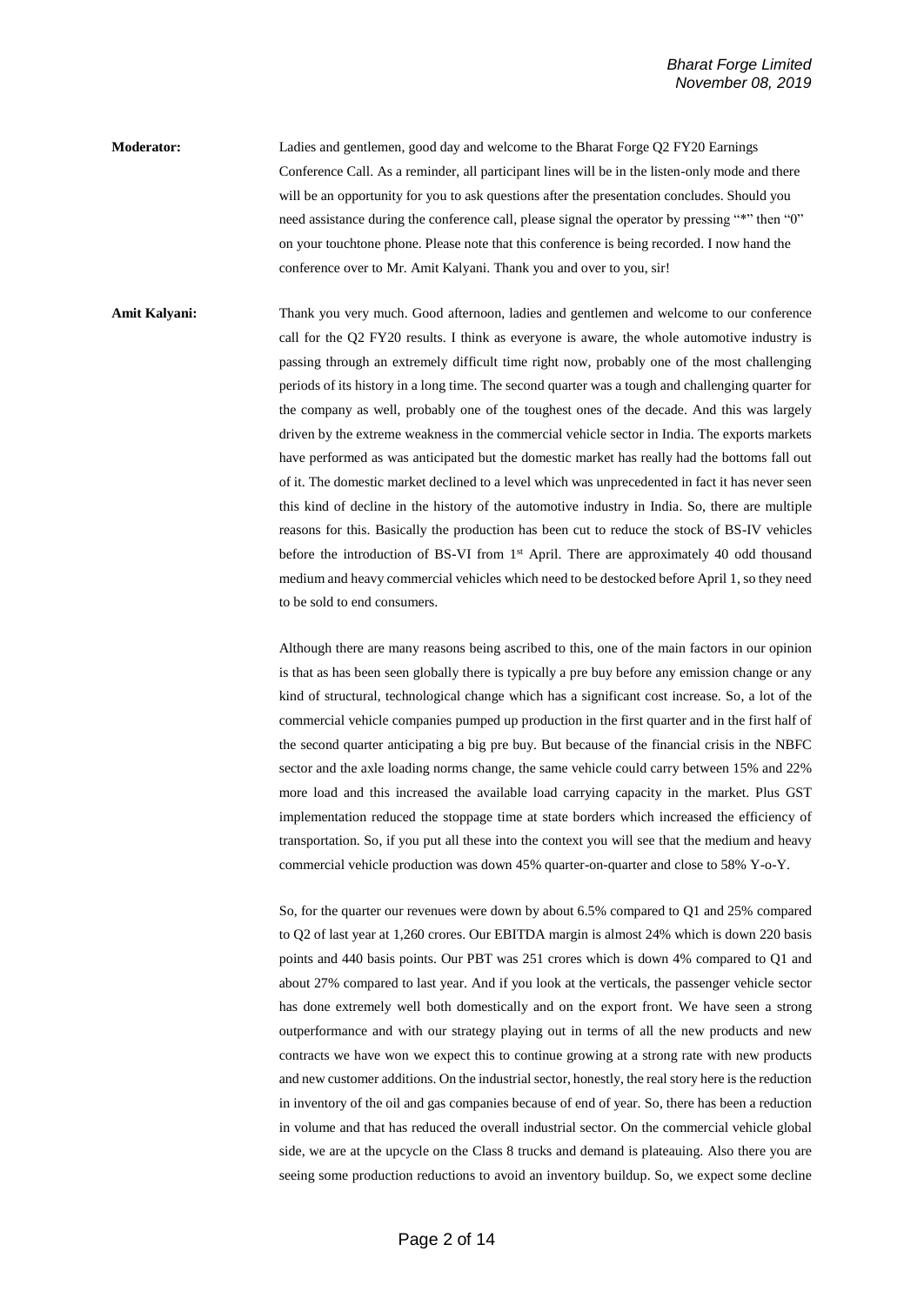**Moderator:** Ladies and gentlemen, good day and welcome to the Bharat Forge Q2 FY20 Earnings Conference Call. As a reminder, all participant lines will be in the listen-only mode and there will be an opportunity for you to ask questions after the presentation concludes. Should you need assistance during the conference call, please signal the operator by pressing "\*" then "0" on your touchtone phone. Please note that this conference is being recorded. I now hand the conference over to Mr. Amit Kalyani. Thank you and over to you, sir!

**Amit Kalyani:** Thank you very much. Good afternoon, ladies and gentlemen and welcome to our conference call for the Q2 FY20 results. I think as everyone is aware, the whole automotive industry is passing through an extremely difficult time right now, probably one of the most challenging periods of its history in a long time. The second quarter was a tough and challenging quarter for the company as well, probably one of the toughest ones of the decade. And this was largely driven by the extreme weakness in the commercial vehicle sector in India. The exports markets have performed as was anticipated but the domestic market has really had the bottoms fall out of it. The domestic market declined to a level which was unprecedented in fact it has never seen this kind of decline in the history of the automotive industry in India. So, there are multiple reasons for this. Basically the production has been cut to reduce the stock of BS-IV vehicles before the introduction of BS-VI from 1<sup>st</sup> April. There are approximately 40 odd thousand medium and heavy commercial vehicles which need to be destocked before April 1, so they need to be sold to end consumers.

> Although there are many reasons being ascribed to this, one of the main factors in our opinion is that as has been seen globally there is typically a pre buy before any emission change or any kind of structural, technological change which has a significant cost increase. So, a lot of the commercial vehicle companies pumped up production in the first quarter and in the first half of the second quarter anticipating a big pre buy. But because of the financial crisis in the NBFC sector and the axle loading norms change, the same vehicle could carry between 15% and 22% more load and this increased the available load carrying capacity in the market. Plus GST implementation reduced the stoppage time at state borders which increased the efficiency of transportation. So, if you put all these into the context you will see that the medium and heavy commercial vehicle production was down 45% quarter-on-quarter and close to 58% Y-o-Y.

> So, for the quarter our revenues were down by about 6.5% compared to Q1 and 25% compared to Q2 of last year at 1,260 crores. Our EBITDA margin is almost 24% which is down 220 basis points and 440 basis points. Our PBT was 251 crores which is down 4% compared to Q1 and about 27% compared to last year. And if you look at the verticals, the passenger vehicle sector has done extremely well both domestically and on the export front. We have seen a strong outperformance and with our strategy playing out in terms of all the new products and new contracts we have won we expect this to continue growing at a strong rate with new products and new customer additions. On the industrial sector, honestly, the real story here is the reduction in inventory of the oil and gas companies because of end of year. So, there has been a reduction in volume and that has reduced the overall industrial sector. On the commercial vehicle global side, we are at the upcycle on the Class 8 trucks and demand is plateauing. Also there you are seeing some production reductions to avoid an inventory buildup. So, we expect some decline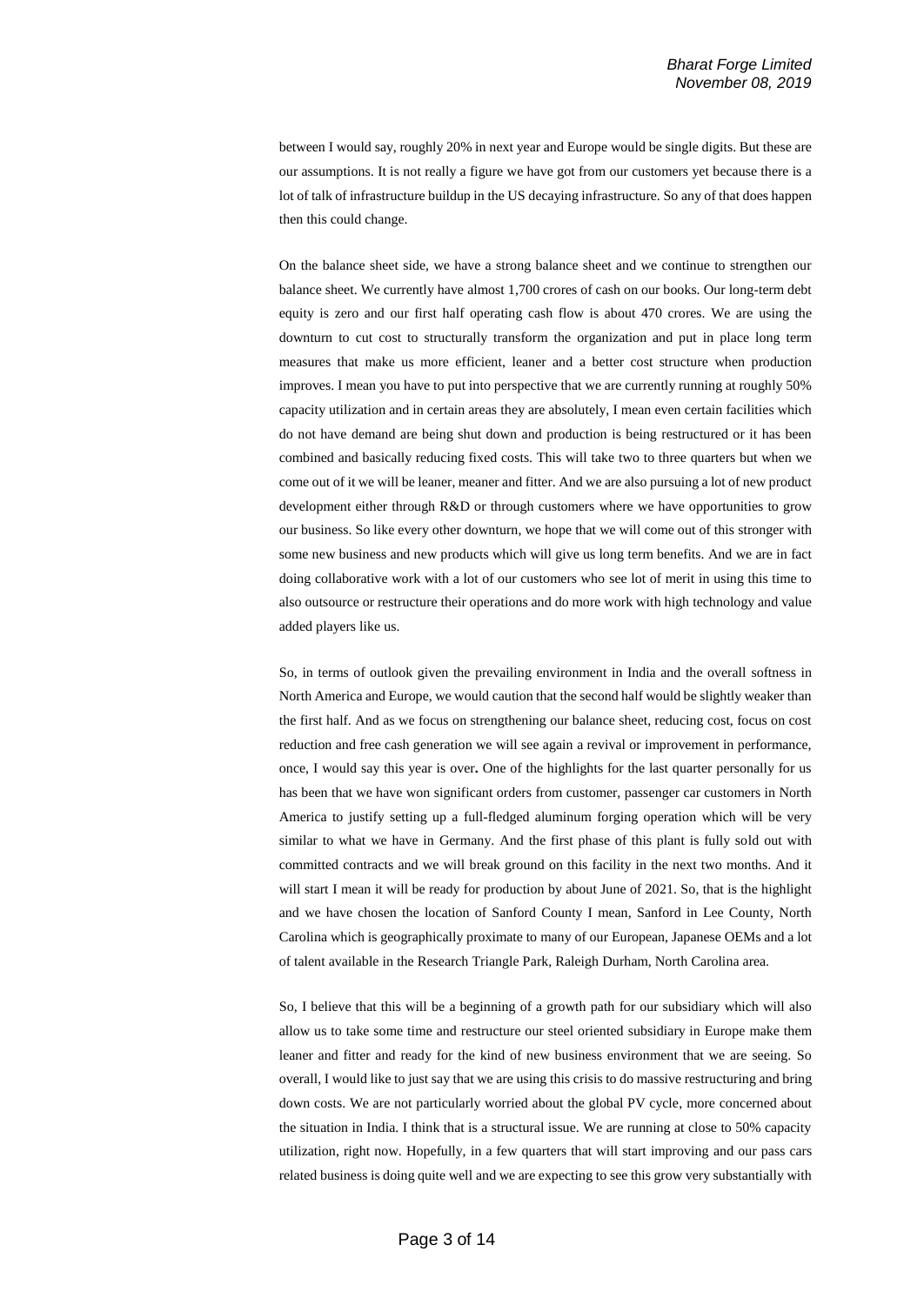between I would say, roughly 20% in next year and Europe would be single digits. But these are our assumptions. It is not really a figure we have got from our customers yet because there is a lot of talk of infrastructure buildup in the US decaying infrastructure. So any of that does happen then this could change.

On the balance sheet side, we have a strong balance sheet and we continue to strengthen our balance sheet. We currently have almost 1,700 crores of cash on our books. Our long-term debt equity is zero and our first half operating cash flow is about 470 crores. We are using the downturn to cut cost to structurally transform the organization and put in place long term measures that make us more efficient, leaner and a better cost structure when production improves. I mean you have to put into perspective that we are currently running at roughly 50% capacity utilization and in certain areas they are absolutely, I mean even certain facilities which do not have demand are being shut down and production is being restructured or it has been combined and basically reducing fixed costs. This will take two to three quarters but when we come out of it we will be leaner, meaner and fitter. And we are also pursuing a lot of new product development either through R&D or through customers where we have opportunities to grow our business. So like every other downturn, we hope that we will come out of this stronger with some new business and new products which will give us long term benefits. And we are in fact doing collaborative work with a lot of our customers who see lot of merit in using this time to also outsource or restructure their operations and do more work with high technology and value added players like us.

So, in terms of outlook given the prevailing environment in India and the overall softness in North America and Europe, we would caution that the second half would be slightly weaker than the first half. And as we focus on strengthening our balance sheet, reducing cost, focus on cost reduction and free cash generation we will see again a revival or improvement in performance, once, I would say this year is over**.** One of the highlights for the last quarter personally for us has been that we have won significant orders from customer, passenger car customers in North America to justify setting up a full-fledged aluminum forging operation which will be very similar to what we have in Germany. And the first phase of this plant is fully sold out with committed contracts and we will break ground on this facility in the next two months. And it will start I mean it will be ready for production by about June of 2021. So, that is the highlight and we have chosen the location of Sanford County I mean, Sanford in Lee County, North Carolina which is geographically proximate to many of our European, Japanese OEMs and a lot of talent available in the Research Triangle Park, Raleigh Durham, North Carolina area.

So, I believe that this will be a beginning of a growth path for our subsidiary which will also allow us to take some time and restructure our steel oriented subsidiary in Europe make them leaner and fitter and ready for the kind of new business environment that we are seeing. So overall, I would like to just say that we are using this crisis to do massive restructuring and bring down costs. We are not particularly worried about the global PV cycle, more concerned about the situation in India. I think that is a structural issue. We are running at close to 50% capacity utilization, right now. Hopefully, in a few quarters that will start improving and our pass cars related business is doing quite well and we are expecting to see this grow very substantially with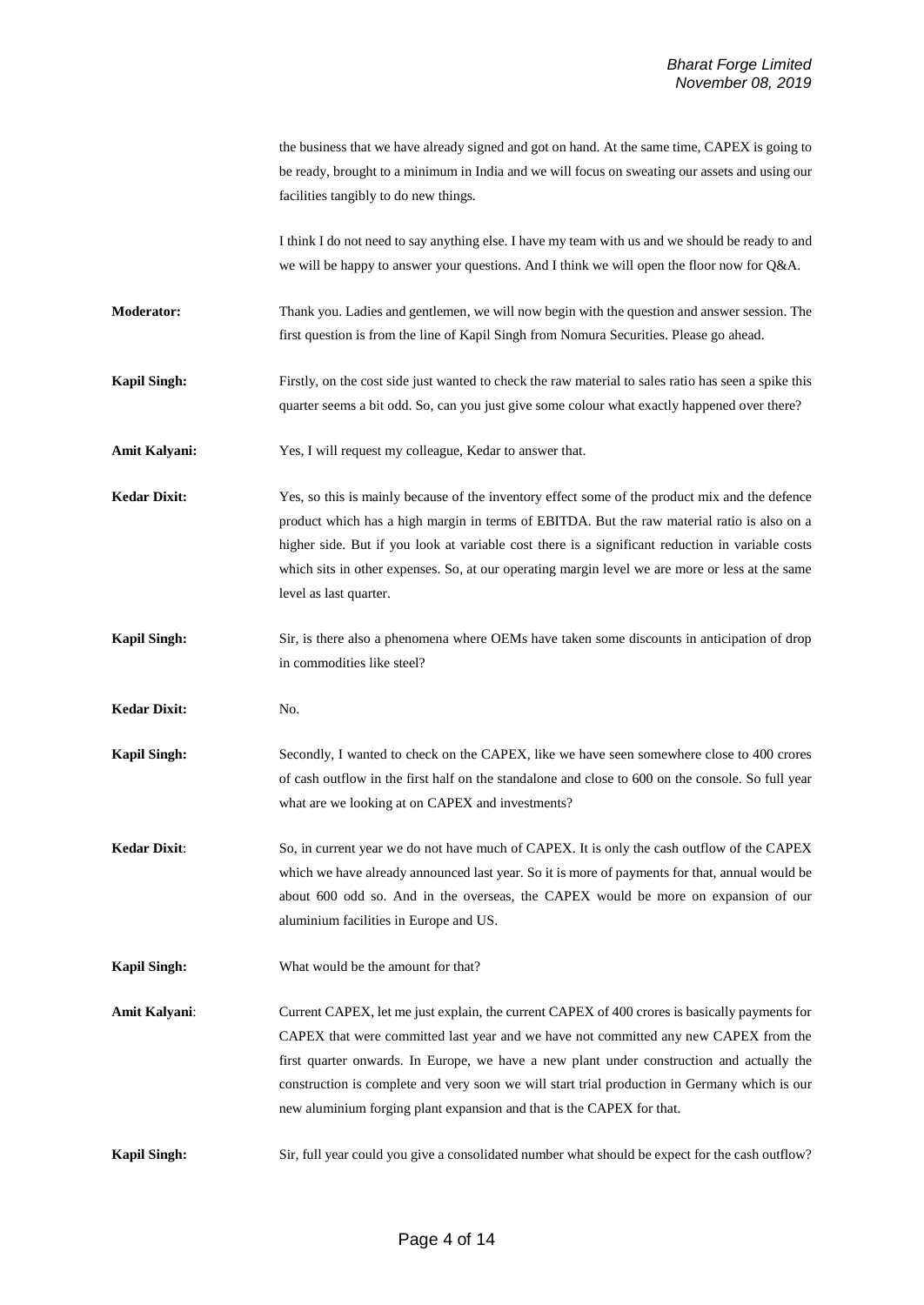|                     | the business that we have already signed and got on hand. At the same time, CAPEX is going to<br>be ready, brought to a minimum in India and we will focus on sweating our assets and using our<br>facilities tangibly to do new things.                                                                                                                                                                                                                     |
|---------------------|--------------------------------------------------------------------------------------------------------------------------------------------------------------------------------------------------------------------------------------------------------------------------------------------------------------------------------------------------------------------------------------------------------------------------------------------------------------|
|                     | I think I do not need to say anything else. I have my team with us and we should be ready to and<br>we will be happy to answer your questions. And I think we will open the floor now for Q&A.                                                                                                                                                                                                                                                               |
| <b>Moderator:</b>   | Thank you. Ladies and gentlemen, we will now begin with the question and answer session. The<br>first question is from the line of Kapil Singh from Nomura Securities. Please go ahead.                                                                                                                                                                                                                                                                      |
| <b>Kapil Singh:</b> | Firstly, on the cost side just wanted to check the raw material to sales ratio has seen a spike this<br>quarter seems a bit odd. So, can you just give some colour what exactly happened over there?                                                                                                                                                                                                                                                         |
| Amit Kalyani:       | Yes, I will request my colleague, Kedar to answer that.                                                                                                                                                                                                                                                                                                                                                                                                      |
| <b>Kedar Dixit:</b> | Yes, so this is mainly because of the inventory effect some of the product mix and the defence<br>product which has a high margin in terms of EBITDA. But the raw material ratio is also on a<br>higher side. But if you look at variable cost there is a significant reduction in variable costs<br>which sits in other expenses. So, at our operating margin level we are more or less at the same<br>level as last quarter.                               |
| <b>Kapil Singh:</b> | Sir, is there also a phenomena where OEMs have taken some discounts in anticipation of drop<br>in commodities like steel?                                                                                                                                                                                                                                                                                                                                    |
| <b>Kedar Dixit:</b> | No.                                                                                                                                                                                                                                                                                                                                                                                                                                                          |
| <b>Kapil Singh:</b> | Secondly, I wanted to check on the CAPEX, like we have seen somewhere close to 400 crores<br>of cash outflow in the first half on the standalone and close to 600 on the console. So full year<br>what are we looking at on CAPEX and investments?                                                                                                                                                                                                           |
| <b>Kedar Dixit:</b> | So, in current year we do not have much of CAPEX. It is only the cash outflow of the CAPEX<br>which we have already announced last year. So it is more of payments for that, annual would be<br>about 600 odd so. And in the overseas, the CAPEX would be more on expansion of our<br>aluminium facilities in Europe and US.                                                                                                                                 |
| <b>Kapil Singh:</b> | What would be the amount for that?                                                                                                                                                                                                                                                                                                                                                                                                                           |
| Amit Kalyani:       | Current CAPEX, let me just explain, the current CAPEX of 400 crores is basically payments for<br>CAPEX that were committed last year and we have not committed any new CAPEX from the<br>first quarter onwards. In Europe, we have a new plant under construction and actually the<br>construction is complete and very soon we will start trial production in Germany which is our<br>new aluminium forging plant expansion and that is the CAPEX for that. |
| <b>Kapil Singh:</b> | Sir, full year could you give a consolidated number what should be expect for the cash outflow?                                                                                                                                                                                                                                                                                                                                                              |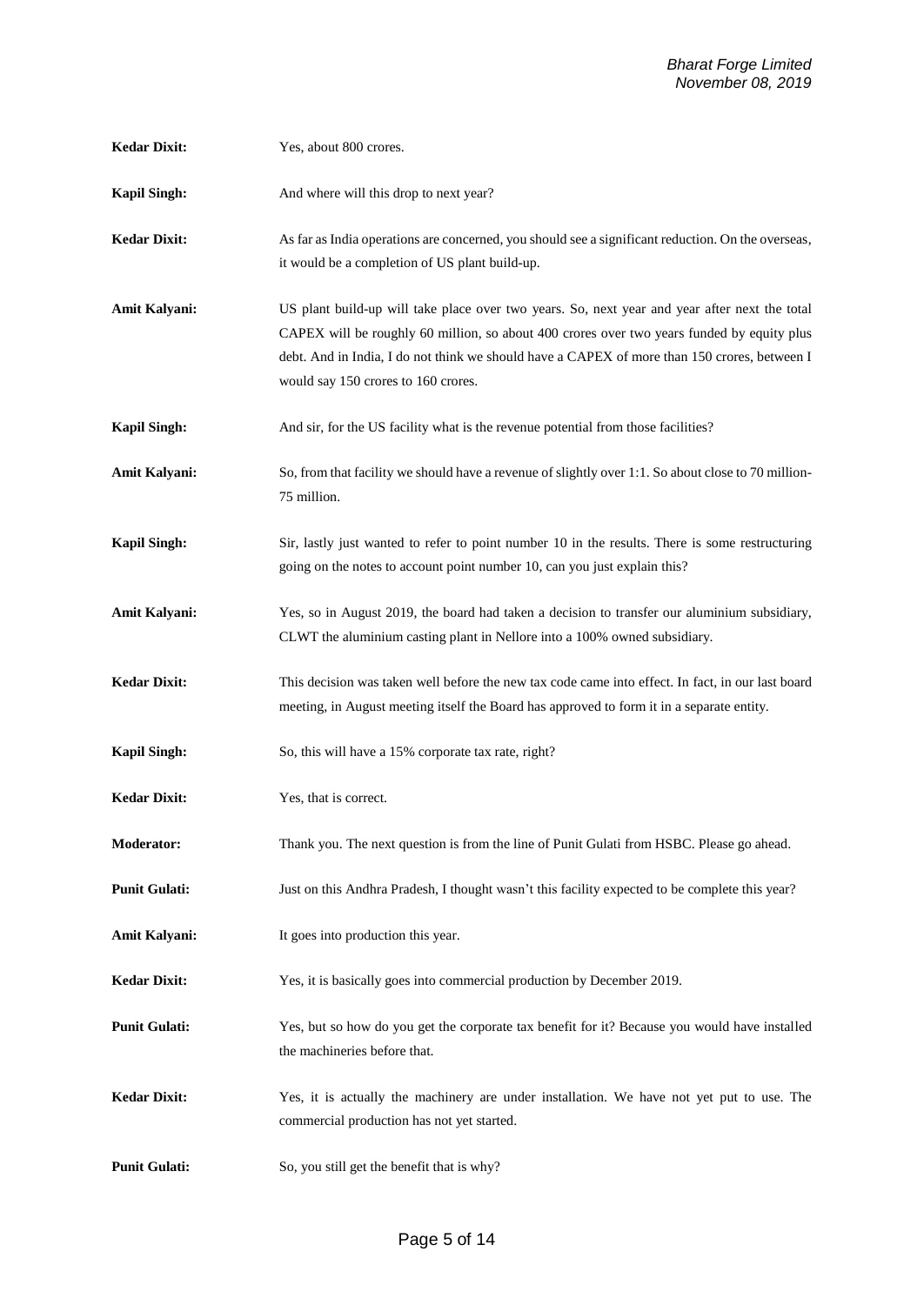| <b>Kedar Dixit:</b>  | Yes, about 800 crores.                                                                                                                                                                                                                                                                                                             |
|----------------------|------------------------------------------------------------------------------------------------------------------------------------------------------------------------------------------------------------------------------------------------------------------------------------------------------------------------------------|
| <b>Kapil Singh:</b>  | And where will this drop to next year?                                                                                                                                                                                                                                                                                             |
| <b>Kedar Dixit:</b>  | As far as India operations are concerned, you should see a significant reduction. On the overseas,<br>it would be a completion of US plant build-up.                                                                                                                                                                               |
| Amit Kalyani:        | US plant build-up will take place over two years. So, next year and year after next the total<br>CAPEX will be roughly 60 million, so about 400 crores over two years funded by equity plus<br>debt. And in India, I do not think we should have a CAPEX of more than 150 crores, between I<br>would say 150 crores to 160 crores. |
| <b>Kapil Singh:</b>  | And sir, for the US facility what is the revenue potential from those facilities?                                                                                                                                                                                                                                                  |
| Amit Kalyani:        | So, from that facility we should have a revenue of slightly over 1:1. So about close to 70 million-<br>75 million.                                                                                                                                                                                                                 |
| <b>Kapil Singh:</b>  | Sir, lastly just wanted to refer to point number 10 in the results. There is some restructuring<br>going on the notes to account point number 10, can you just explain this?                                                                                                                                                       |
| Amit Kalyani:        | Yes, so in August 2019, the board had taken a decision to transfer our aluminium subsidiary,<br>CLWT the aluminium casting plant in Nellore into a 100% owned subsidiary.                                                                                                                                                          |
| <b>Kedar Dixit:</b>  | This decision was taken well before the new tax code came into effect. In fact, in our last board<br>meeting, in August meeting itself the Board has approved to form it in a separate entity.                                                                                                                                     |
| <b>Kapil Singh:</b>  | So, this will have a 15% corporate tax rate, right?                                                                                                                                                                                                                                                                                |
| <b>Kedar Dixit:</b>  | Yes, that is correct.                                                                                                                                                                                                                                                                                                              |
| <b>Moderator:</b>    | Thank you. The next question is from the line of Punit Gulati from HSBC. Please go ahead.                                                                                                                                                                                                                                          |
| <b>Punit Gulati:</b> | Just on this Andhra Pradesh, I thought wasn't this facility expected to be complete this year?                                                                                                                                                                                                                                     |
| Amit Kalyani:        | It goes into production this year.                                                                                                                                                                                                                                                                                                 |
| <b>Kedar Dixit:</b>  | Yes, it is basically goes into commercial production by December 2019.                                                                                                                                                                                                                                                             |
| <b>Punit Gulati:</b> | Yes, but so how do you get the corporate tax benefit for it? Because you would have installed<br>the machineries before that.                                                                                                                                                                                                      |
| <b>Kedar Dixit:</b>  | Yes, it is actually the machinery are under installation. We have not yet put to use. The<br>commercial production has not yet started.                                                                                                                                                                                            |
| <b>Punit Gulati:</b> | So, you still get the benefit that is why?                                                                                                                                                                                                                                                                                         |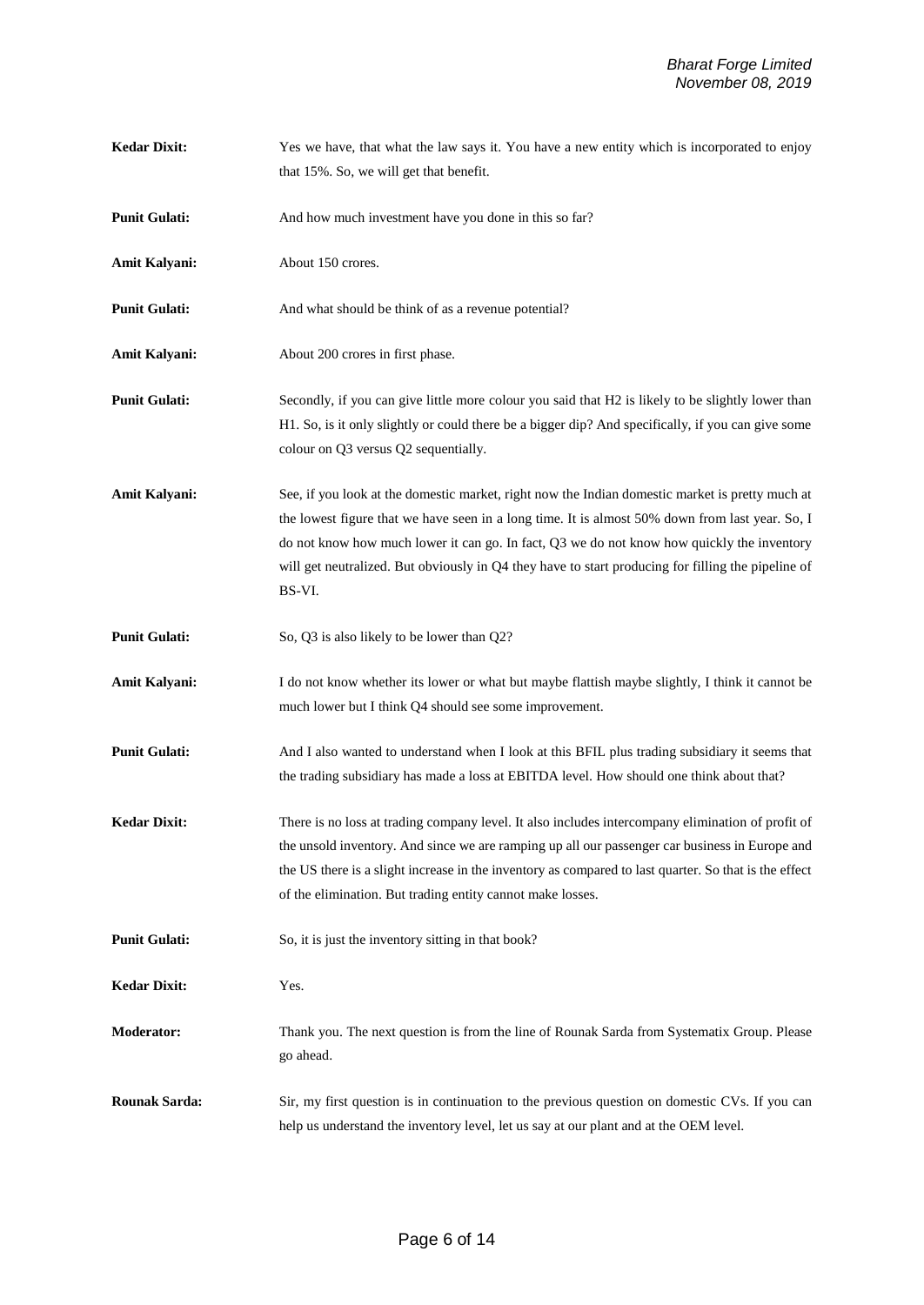**Kedar Dixit:** Yes we have, that what the law says it. You have a new entity which is incorporated to enjoy that 15%. So, we will get that benefit.

**Punit Gulati:** And how much investment have you done in this so far?

**Amit Kalyani:** About 150 crores.

**Punit Gulati:** And what should be think of as a revenue potential?

Amit Kalyani: About 200 crores in first phase.

**Punit Gulati:** Secondly, if you can give little more colour you said that H2 is likely to be slightly lower than H1. So, is it only slightly or could there be a bigger dip? And specifically, if you can give some colour on Q3 versus Q2 sequentially.

**Amit Kalyani:** See, if you look at the domestic market, right now the Indian domestic market is pretty much at the lowest figure that we have seen in a long time. It is almost 50% down from last year. So, I do not know how much lower it can go. In fact, Q3 we do not know how quickly the inventory will get neutralized. But obviously in Q4 they have to start producing for filling the pipeline of BS-VI.

**Punit Gulati:** So, Q3 is also likely to be lower than Q2?

Amit Kalyani: I do not know whether its lower or what but maybe flattish maybe slightly, I think it cannot be much lower but I think Q4 should see some improvement.

**Punit Gulati:** And I also wanted to understand when I look at this BFIL plus trading subsidiary it seems that the trading subsidiary has made a loss at EBITDA level. How should one think about that?

- **Kedar Dixit:** There is no loss at trading company level. It also includes intercompany elimination of profit of the unsold inventory. And since we are ramping up all our passenger car business in Europe and the US there is a slight increase in the inventory as compared to last quarter. So that is the effect of the elimination. But trading entity cannot make losses.
- **Punit Gulati:** So, it is just the inventory sitting in that book?

**Kedar Dixit:** Yes.

**Moderator:** Thank you. The next question is from the line of Rounak Sarda from Systematix Group. Please go ahead.

**Rounak Sarda:** Sir, my first question is in continuation to the previous question on domestic CVs. If you can help us understand the inventory level, let us say at our plant and at the OEM level.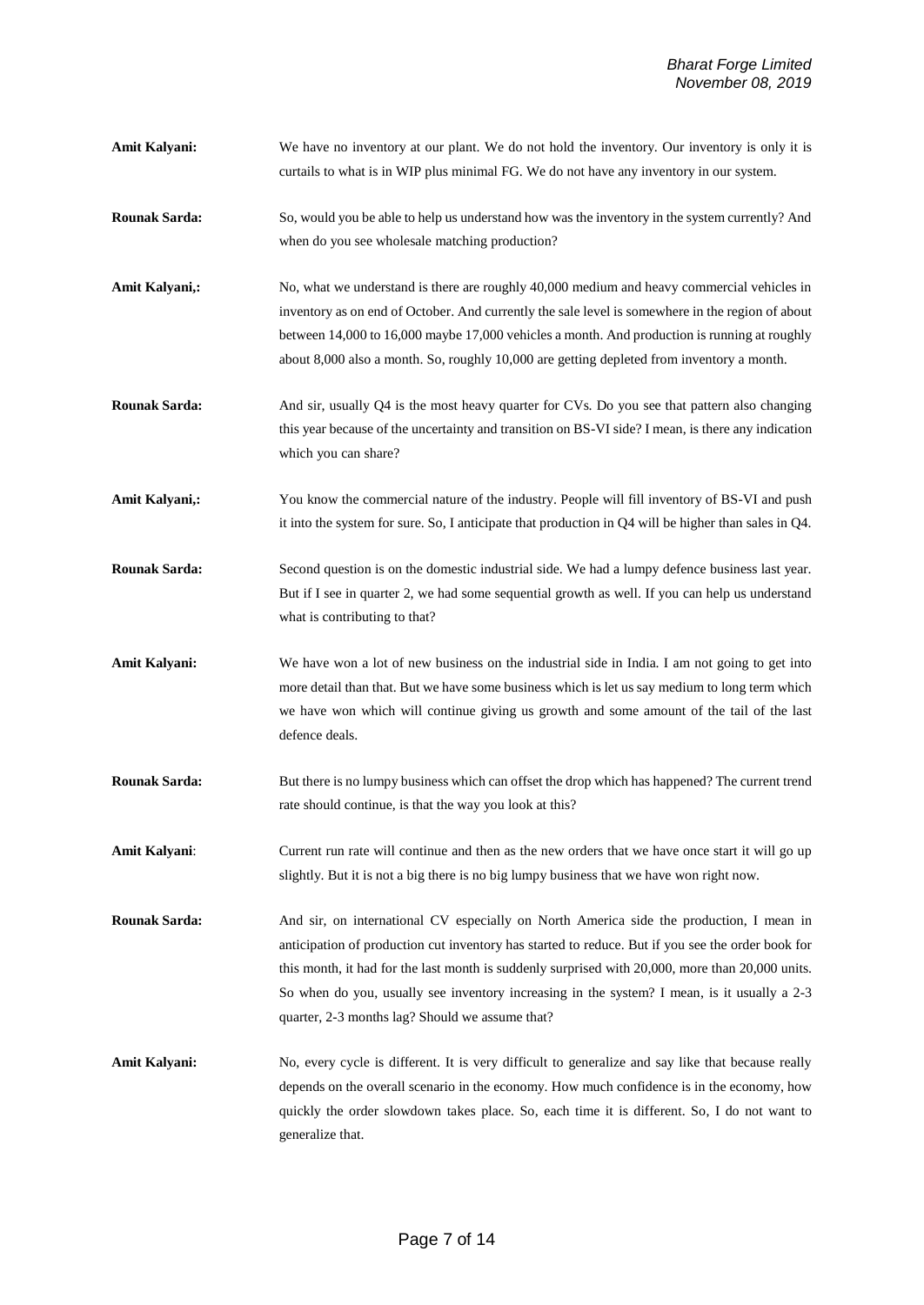- **Amit Kalyani:** We have no inventory at our plant. We do not hold the inventory. Our inventory is only it is curtails to what is in WIP plus minimal FG. We do not have any inventory in our system.
- **Rounak Sarda:** So, would you be able to help us understand how was the inventory in the system currently? And when do you see wholesale matching production?
- Amit Kalyani,: No, what we understand is there are roughly 40,000 medium and heavy commercial vehicles in inventory as on end of October. And currently the sale level is somewhere in the region of about between 14,000 to 16,000 maybe 17,000 vehicles a month. And production is running at roughly about 8,000 also a month. So, roughly 10,000 are getting depleted from inventory a month.
- **Rounak Sarda:** And sir, usually Q4 is the most heavy quarter for CVs. Do you see that pattern also changing this year because of the uncertainty and transition on BS-VI side? I mean, is there any indication which you can share?
- **Amit Kalyani,:** You know the commercial nature of the industry. People will fill inventory of BS-VI and push it into the system for sure. So, I anticipate that production in Q4 will be higher than sales in Q4.
- **Rounak Sarda:** Second question is on the domestic industrial side. We had a lumpy defence business last year. But if I see in quarter 2, we had some sequential growth as well. If you can help us understand what is contributing to that?
- **Amit Kalyani:** We have won a lot of new business on the industrial side in India. I am not going to get into more detail than that. But we have some business which is let us say medium to long term which we have won which will continue giving us growth and some amount of the tail of the last defence deals.
- **Rounak Sarda:** But there is no lumpy business which can offset the drop which has happened? The current trend rate should continue, is that the way you look at this?
- **Amit Kalyani**: Current run rate will continue and then as the new orders that we have once start it will go up slightly. But it is not a big there is no big lumpy business that we have won right now.

**Rounak Sarda:** And sir, on international CV especially on North America side the production, I mean in anticipation of production cut inventory has started to reduce. But if you see the order book for this month, it had for the last month is suddenly surprised with 20,000, more than 20,000 units. So when do you, usually see inventory increasing in the system? I mean, is it usually a 2-3 quarter, 2-3 months lag? Should we assume that?

**Amit Kalyani:** No, every cycle is different. It is very difficult to generalize and say like that because really depends on the overall scenario in the economy. How much confidence is in the economy, how quickly the order slowdown takes place. So, each time it is different. So, I do not want to generalize that.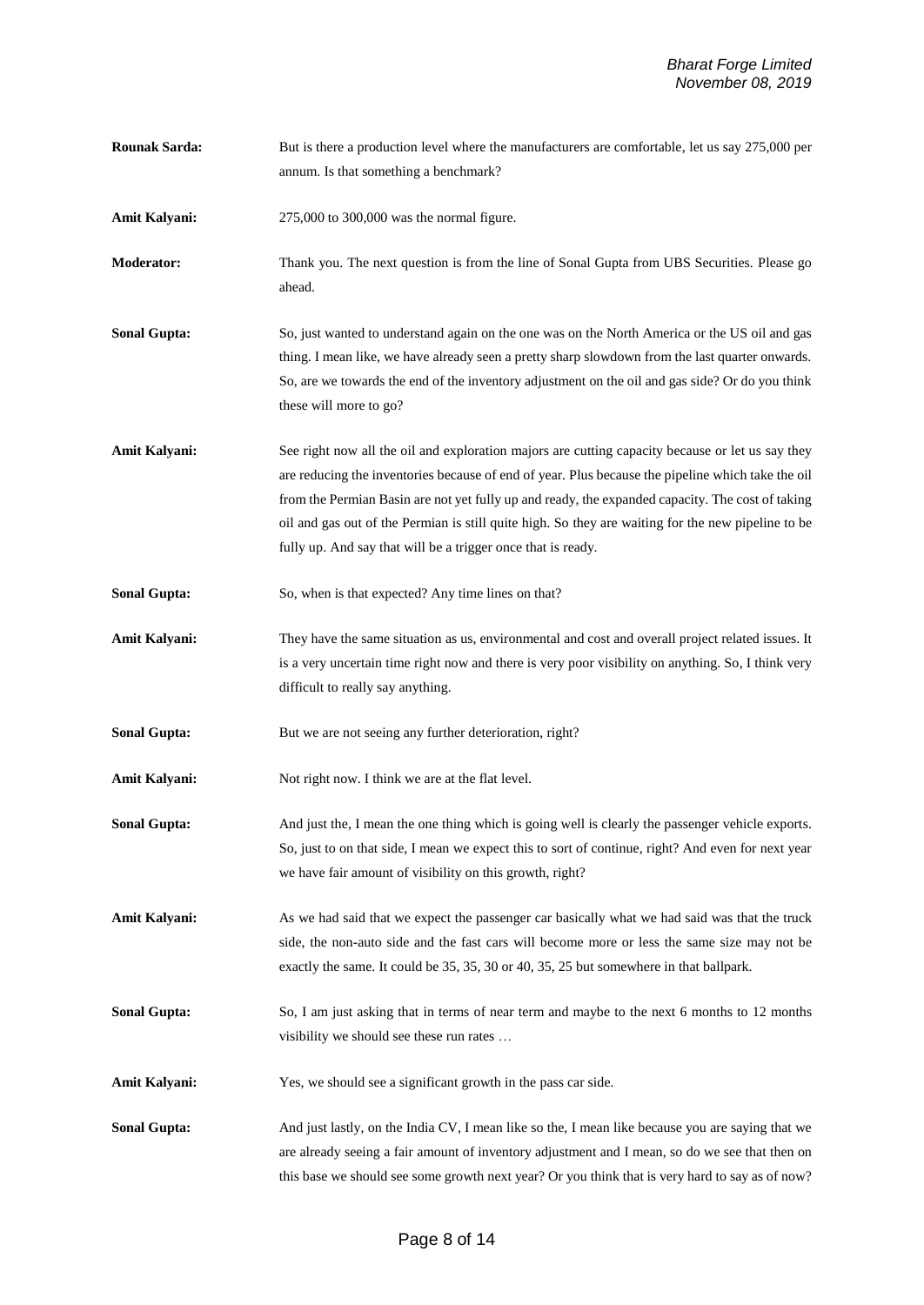**Rounak Sarda:** But is there a production level where the manufacturers are comfortable, let us say 275,000 per annum. Is that something a benchmark? **Amit Kalyani:** 275,000 to 300,000 was the normal figure. **Moderator:** Thank you. The next question is from the line of Sonal Gupta from UBS Securities. Please go ahead. **Sonal Gupta:** So, just wanted to understand again on the one was on the North America or the US oil and gas thing. I mean like, we have already seen a pretty sharp slowdown from the last quarter onwards. So, are we towards the end of the inventory adjustment on the oil and gas side? Or do you think these will more to go? Amit Kalyani: See right now all the oil and exploration majors are cutting capacity because or let us say they are reducing the inventories because of end of year. Plus because the pipeline which take the oil from the Permian Basin are not yet fully up and ready, the expanded capacity. The cost of taking oil and gas out of the Permian is still quite high. So they are waiting for the new pipeline to be fully up. And say that will be a trigger once that is ready. **Sonal Gupta:** So, when is that expected? Any time lines on that? **Amit Kalyani:** They have the same situation as us, environmental and cost and overall project related issues. It is a very uncertain time right now and there is very poor visibility on anything. So, I think very difficult to really say anything. **Sonal Gupta:** But we are not seeing any further deterioration, right? Amit Kalyani: Not right now. I think we are at the flat level. **Sonal Gupta:** And just the, I mean the one thing which is going well is clearly the passenger vehicle exports. So, just to on that side, I mean we expect this to sort of continue, right? And even for next year we have fair amount of visibility on this growth, right? **Amit Kalyani:** As we had said that we expect the passenger car basically what we had said was that the truck side, the non-auto side and the fast cars will become more or less the same size may not be exactly the same. It could be 35, 35, 30 or 40, 35, 25 but somewhere in that ballpark. **Sonal Gupta:** So, I am just asking that in terms of near term and maybe to the next 6 months to 12 months visibility we should see these run rates … Amit Kalyani: Yes, we should see a significant growth in the pass car side. **Sonal Gupta:** And just lastly, on the India CV, I mean like so the, I mean like because you are saying that we are already seeing a fair amount of inventory adjustment and I mean, so do we see that then on this base we should see some growth next year? Or you think that is very hard to say as of now?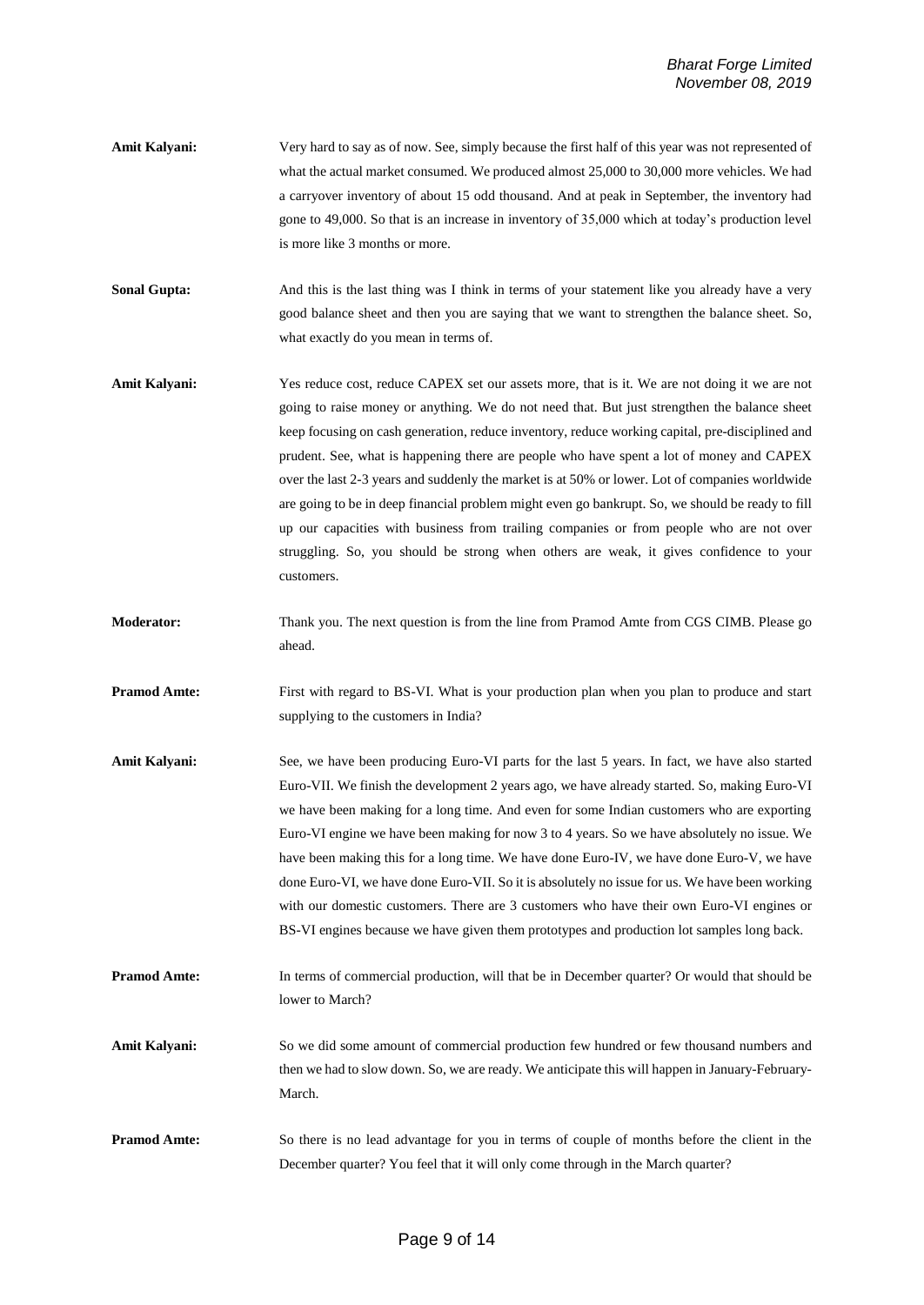- **Amit Kalyani:** Very hard to say as of now. See, simply because the first half of this year was not represented of what the actual market consumed. We produced almost 25,000 to 30,000 more vehicles. We had a carryover inventory of about 15 odd thousand. And at peak in September, the inventory had gone to 49,000. So that is an increase in inventory of 35,000 which at today's production level is more like 3 months or more.
- **Sonal Gupta:** And this is the last thing was I think in terms of your statement like you already have a very good balance sheet and then you are saying that we want to strengthen the balance sheet. So, what exactly do you mean in terms of.
- Amit Kalyani: Yes reduce cost, reduce CAPEX set our assets more, that is it. We are not doing it we are not going to raise money or anything. We do not need that. But just strengthen the balance sheet keep focusing on cash generation, reduce inventory, reduce working capital, pre-disciplined and prudent. See, what is happening there are people who have spent a lot of money and CAPEX over the last 2-3 years and suddenly the market is at 50% or lower. Lot of companies worldwide are going to be in deep financial problem might even go bankrupt. So, we should be ready to fill up our capacities with business from trailing companies or from people who are not over struggling. So, you should be strong when others are weak, it gives confidence to your customers.
- **Moderator:** Thank you. The next question is from the line from Pramod Amte from CGS CIMB. Please go ahead.
- **Pramod Amte:** First with regard to BS-VI. What is your production plan when you plan to produce and start supplying to the customers in India?
- **Amit Kalyani:** See, we have been producing Euro-VI parts for the last 5 years. In fact, we have also started Euro-VII. We finish the development 2 years ago, we have already started. So, making Euro-VI we have been making for a long time. And even for some Indian customers who are exporting Euro-VI engine we have been making for now 3 to 4 years. So we have absolutely no issue. We have been making this for a long time. We have done Euro-IV, we have done Euro-V, we have done Euro-VI, we have done Euro-VII. So it is absolutely no issue for us. We have been working with our domestic customers. There are 3 customers who have their own Euro-VI engines or BS-VI engines because we have given them prototypes and production lot samples long back.
- **Pramod Amte:** In terms of commercial production, will that be in December quarter? Or would that should be lower to March?
- **Amit Kalyani:** So we did some amount of commercial production few hundred or few thousand numbers and then we had to slow down. So, we are ready. We anticipate this will happen in January-February-March.
- **Pramod Amte:** So there is no lead advantage for you in terms of couple of months before the client in the December quarter? You feel that it will only come through in the March quarter?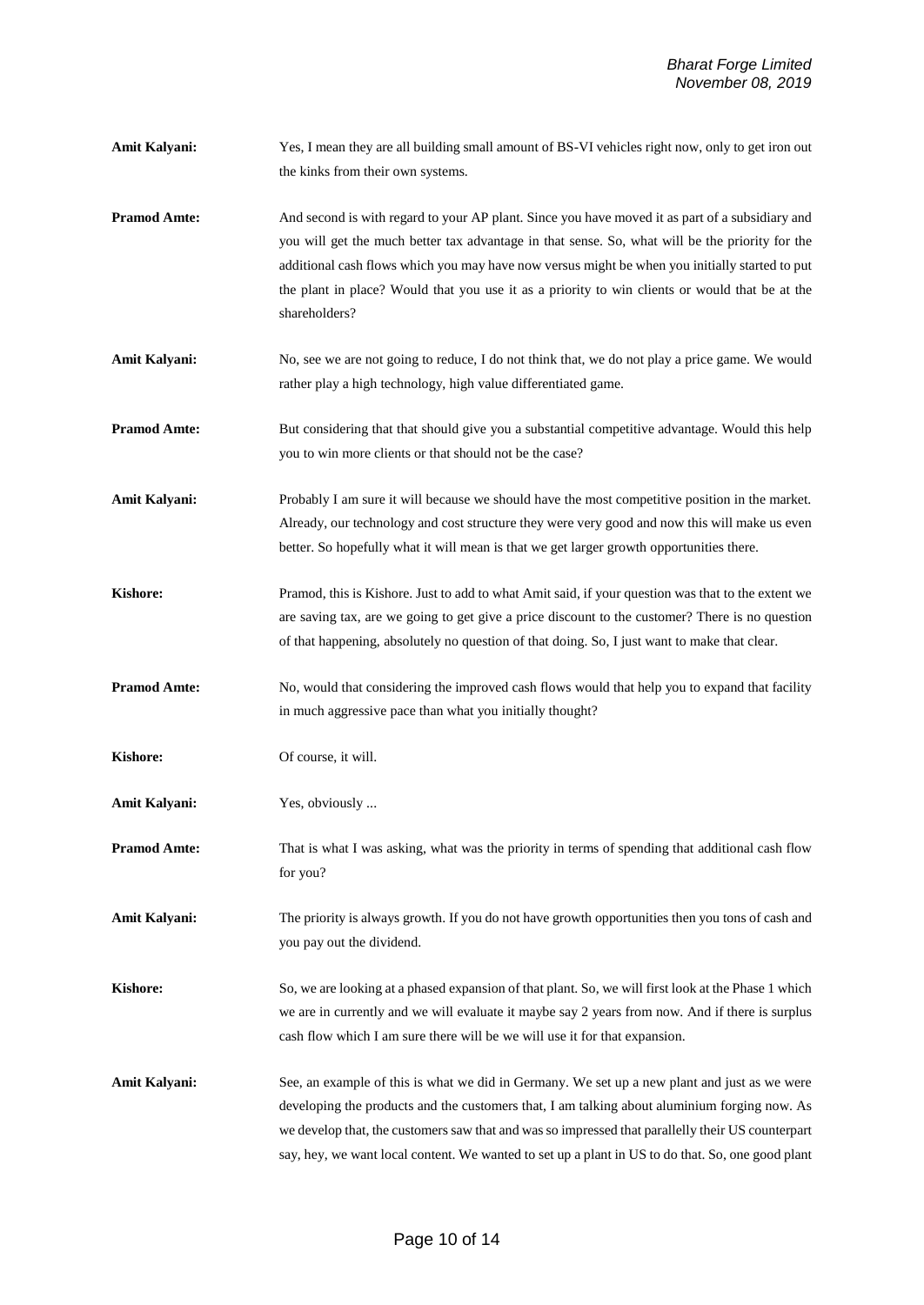- **Amit Kalyani:** Yes, I mean they are all building small amount of BS-VI vehicles right now, only to get iron out the kinks from their own systems.
- **Pramod Amte:** And second is with regard to your AP plant. Since you have moved it as part of a subsidiary and you will get the much better tax advantage in that sense. So, what will be the priority for the additional cash flows which you may have now versus might be when you initially started to put the plant in place? Would that you use it as a priority to win clients or would that be at the shareholders?
- **Amit Kalyani:** No, see we are not going to reduce, I do not think that, we do not play a price game. We would rather play a high technology, high value differentiated game.
- **Pramod Amte:** But considering that that should give you a substantial competitive advantage. Would this help you to win more clients or that should not be the case?
- **Amit Kalyani:** Probably I am sure it will because we should have the most competitive position in the market. Already, our technology and cost structure they were very good and now this will make us even better. So hopefully what it will mean is that we get larger growth opportunities there.
- **Kishore:** Pramod, this is Kishore. Just to add to what Amit said, if your question was that to the extent we are saving tax, are we going to get give a price discount to the customer? There is no question of that happening, absolutely no question of that doing. So, I just want to make that clear.
- **Pramod Amte:** No, would that considering the improved cash flows would that help you to expand that facility in much aggressive pace than what you initially thought?
- **Kishore:** Of course, it will.
- **Amit Kalyani:** Yes, obviously ...
- **Pramod Amte:** That is what I was asking, what was the priority in terms of spending that additional cash flow for you?
- **Amit Kalyani:** The priority is always growth. If you do not have growth opportunities then you tons of cash and you pay out the dividend.
- **Kishore:** So, we are looking at a phased expansion of that plant. So, we will first look at the Phase 1 which we are in currently and we will evaluate it maybe say 2 years from now. And if there is surplus cash flow which I am sure there will be we will use it for that expansion.
- **Amit Kalyani:** See, an example of this is what we did in Germany. We set up a new plant and just as we were developing the products and the customers that, I am talking about aluminium forging now. As we develop that, the customers saw that and was so impressed that parallelly their US counterpart say, hey, we want local content. We wanted to set up a plant in US to do that. So, one good plant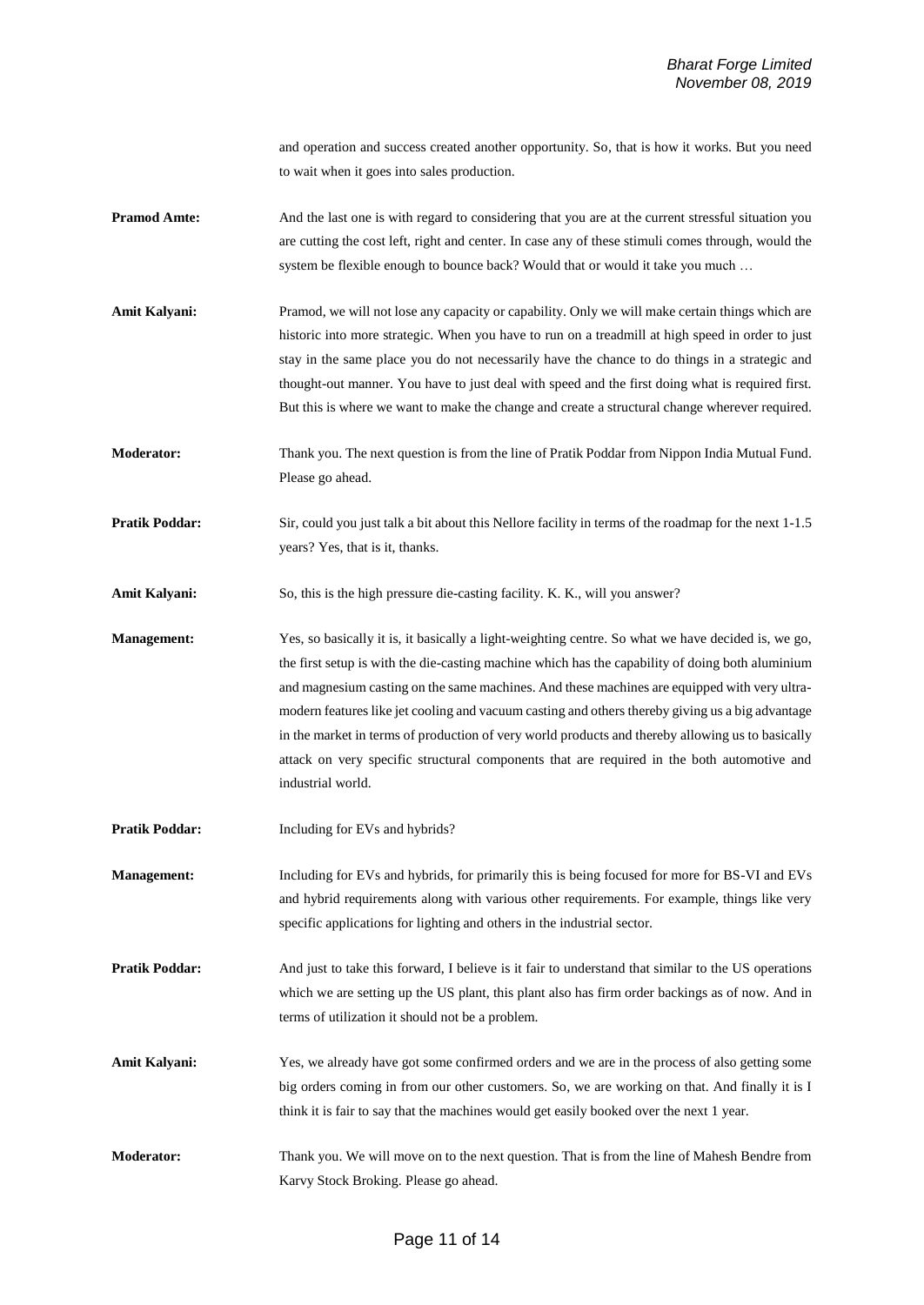and operation and success created another opportunity. So, that is how it works. But you need to wait when it goes into sales production.

- **Pramod Amte:** And the last one is with regard to considering that you are at the current stressful situation you are cutting the cost left, right and center. In case any of these stimuli comes through, would the system be flexible enough to bounce back? Would that or would it take you much …
- Amit Kalyani: Pramod, we will not lose any capacity or capability. Only we will make certain things which are historic into more strategic. When you have to run on a treadmill at high speed in order to just stay in the same place you do not necessarily have the chance to do things in a strategic and thought-out manner. You have to just deal with speed and the first doing what is required first. But this is where we want to make the change and create a structural change wherever required.

**Moderator:** Thank you. The next question is from the line of Pratik Poddar from Nippon India Mutual Fund. Please go ahead.

**Pratik Poddar:** Sir, could you just talk a bit about this Nellore facility in terms of the roadmap for the next 1-1.5 years? Yes, that is it, thanks.

**Amit Kalyani:** So, this is the high pressure die-casting facility. K. K., will you answer?

**Management:** Yes, so basically it is, it basically a light-weighting centre. So what we have decided is, we go, the first setup is with the die-casting machine which has the capability of doing both aluminium and magnesium casting on the same machines. And these machines are equipped with very ultramodern features like jet cooling and vacuum casting and others thereby giving us a big advantage in the market in terms of production of very world products and thereby allowing us to basically attack on very specific structural components that are required in the both automotive and industrial world.

**Pratik Poddar:** Including for EVs and hybrids?

**Management:** Including for EVs and hybrids, for primarily this is being focused for more for BS-VI and EVs and hybrid requirements along with various other requirements. For example, things like very specific applications for lighting and others in the industrial sector.

**Pratik Poddar:** And just to take this forward, I believe is it fair to understand that similar to the US operations which we are setting up the US plant, this plant also has firm order backings as of now. And in terms of utilization it should not be a problem.

**Amit Kalyani:** Yes, we already have got some confirmed orders and we are in the process of also getting some big orders coming in from our other customers. So, we are working on that. And finally it is I think it is fair to say that the machines would get easily booked over the next 1 year.

**Moderator:** Thank you. We will move on to the next question. That is from the line of Mahesh Bendre from Karvy Stock Broking. Please go ahead.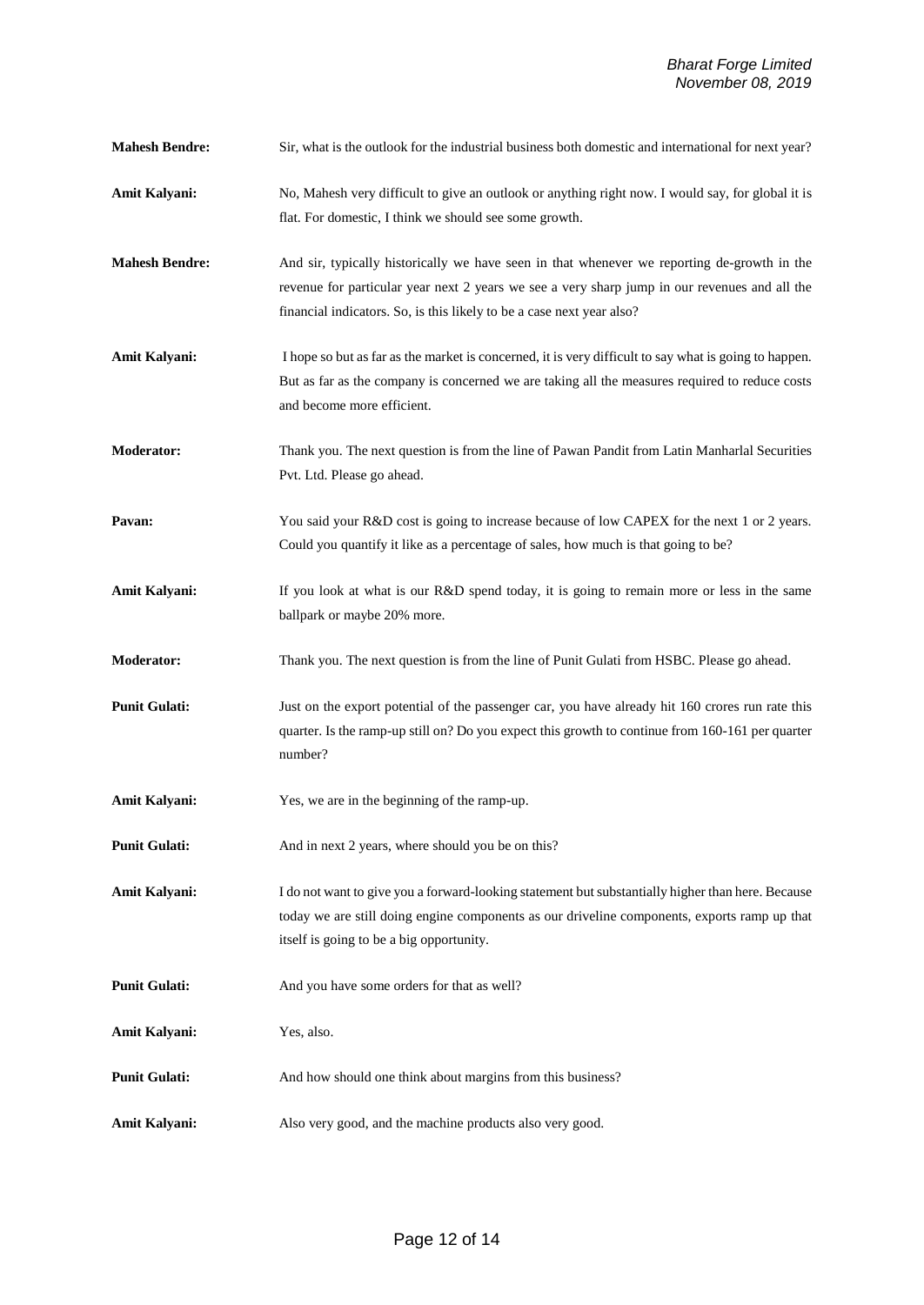- **Mahesh Bendre:** Sir, what is the outlook for the industrial business both domestic and international for next year?
- **Amit Kalyani:** No, Mahesh very difficult to give an outlook or anything right now. I would say, for global it is flat. For domestic, I think we should see some growth.
- **Mahesh Bendre:** And sir, typically historically we have seen in that whenever we reporting de-growth in the revenue for particular year next 2 years we see a very sharp jump in our revenues and all the financial indicators. So, is this likely to be a case next year also?
- Amit Kalyani: I hope so but as far as the market is concerned, it is very difficult to say what is going to happen. But as far as the company is concerned we are taking all the measures required to reduce costs and become more efficient.
- **Moderator:** Thank you. The next question is from the line of Pawan Pandit from Latin Manharlal Securities Pvt. Ltd. Please go ahead.
- **Pavan:** You said your R&D cost is going to increase because of low CAPEX for the next 1 or 2 years. Could you quantify it like as a percentage of sales, how much is that going to be?
- Amit Kalyani: If you look at what is our R&D spend today, it is going to remain more or less in the same ballpark or maybe 20% more.
- **Moderator:** Thank you. The next question is from the line of Punit Gulati from HSBC. Please go ahead.
- **Punit Gulati:** Just on the export potential of the passenger car, you have already hit 160 crores run rate this quarter. Is the ramp-up still on? Do you expect this growth to continue from 160-161 per quarter number?
- Amit Kalyani: Yes, we are in the beginning of the ramp-up.
- **Punit Gulati:** And in next 2 years, where should you be on this?
- **Amit Kalyani:** I do not want to give you a forward-looking statement butsubstantially higher than here. Because today we are still doing engine components as our driveline components, exports ramp up that itself is going to be a big opportunity.
- **Punit Gulati:** And you have some orders for that as well?
- **Amit Kalyani:** Yes, also.
- **Punit Gulati:** And how should one think about margins from this business?
- Amit Kalyani: Also very good, and the machine products also very good.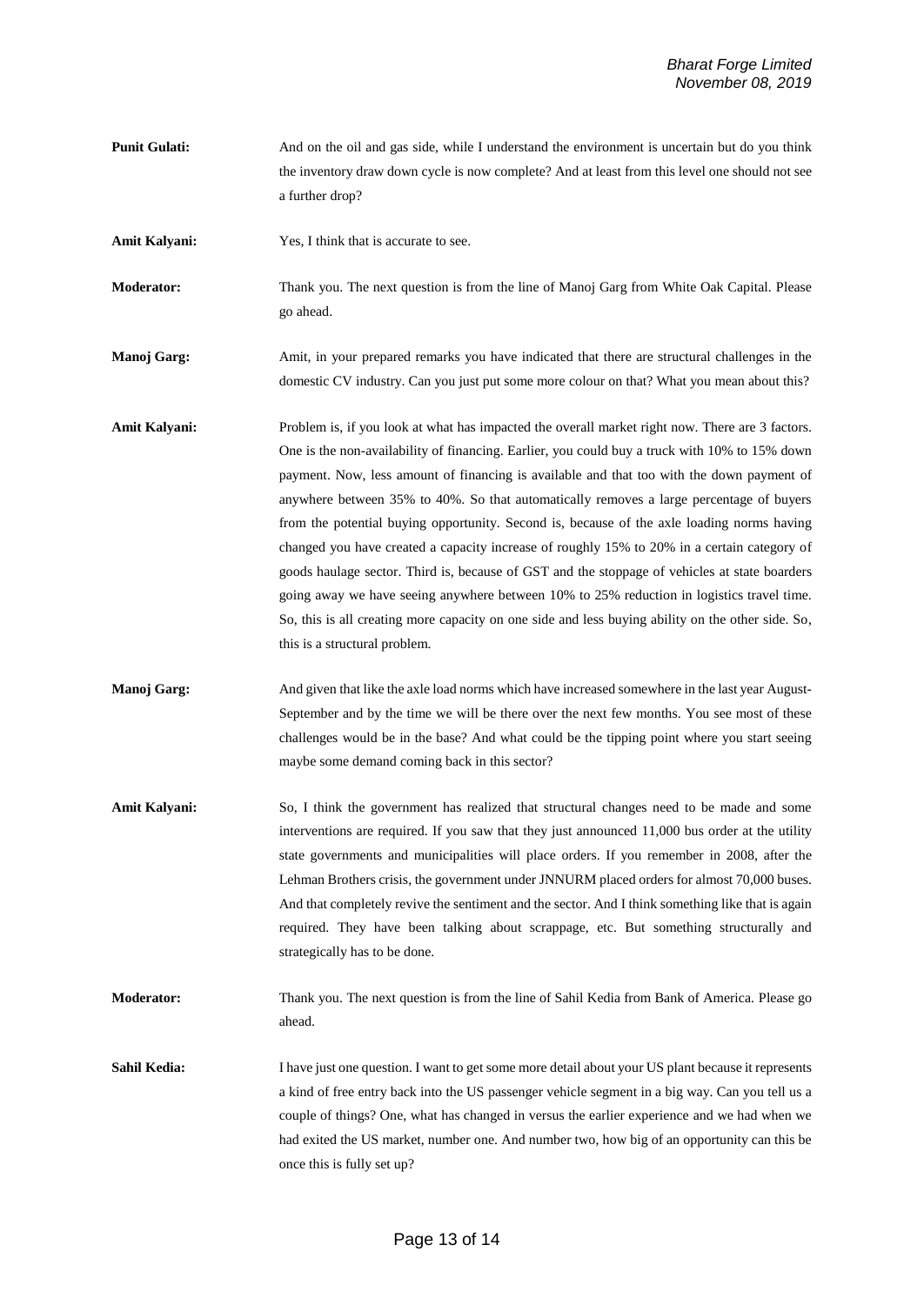**Punit Gulati:** And on the oil and gas side, while I understand the environment is uncertain but do you think the inventory draw down cycle is now complete? And at least from this level one should not see a further drop?

Amit Kalyani: Yes, I think that is accurate to see.

**Moderator:** Thank you. The next question is from the line of Manoj Garg from White Oak Capital. Please go ahead.

**Manoj Garg:** Amit, in your prepared remarks you have indicated that there are structural challenges in the domestic CV industry. Can you just put some more colour on that? What you mean about this?

- Amit Kalyani: Problem is, if you look at what has impacted the overall market right now. There are 3 factors. One is the non-availability of financing. Earlier, you could buy a truck with 10% to 15% down payment. Now, less amount of financing is available and that too with the down payment of anywhere between 35% to 40%. So that automatically removes a large percentage of buyers from the potential buying opportunity. Second is, because of the axle loading norms having changed you have created a capacity increase of roughly 15% to 20% in a certain category of goods haulage sector. Third is, because of GST and the stoppage of vehicles at state boarders going away we have seeing anywhere between 10% to 25% reduction in logistics travel time. So, this is all creating more capacity on one side and less buying ability on the other side. So, this is a structural problem.
- **Manoj Garg:** And given that like the axle load norms which have increased somewhere in the last year August-September and by the time we will be there over the next few months. You see most of these challenges would be in the base? And what could be the tipping point where you start seeing maybe some demand coming back in this sector?
- Amit Kalyani: So, I think the government has realized that structural changes need to be made and some interventions are required. If you saw that they just announced 11,000 bus order at the utility state governments and municipalities will place orders. If you remember in 2008, after the Lehman Brothers crisis, the government under JNNURM placed orders for almost 70,000 buses. And that completely revive the sentiment and the sector. And I think something like that is again required. They have been talking about scrappage, etc. But something structurally and strategically has to be done.

**Moderator:** Thank you. The next question is from the line of Sahil Kedia from Bank of America. Please go ahead.

Sahil Kedia: I have just one question. I want to get some more detail about your US plant because it represents a kind of free entry back into the US passenger vehicle segment in a big way. Can you tell us a couple of things? One, what has changed in versus the earlier experience and we had when we had exited the US market, number one. And number two, how big of an opportunity can this be once this is fully set up?